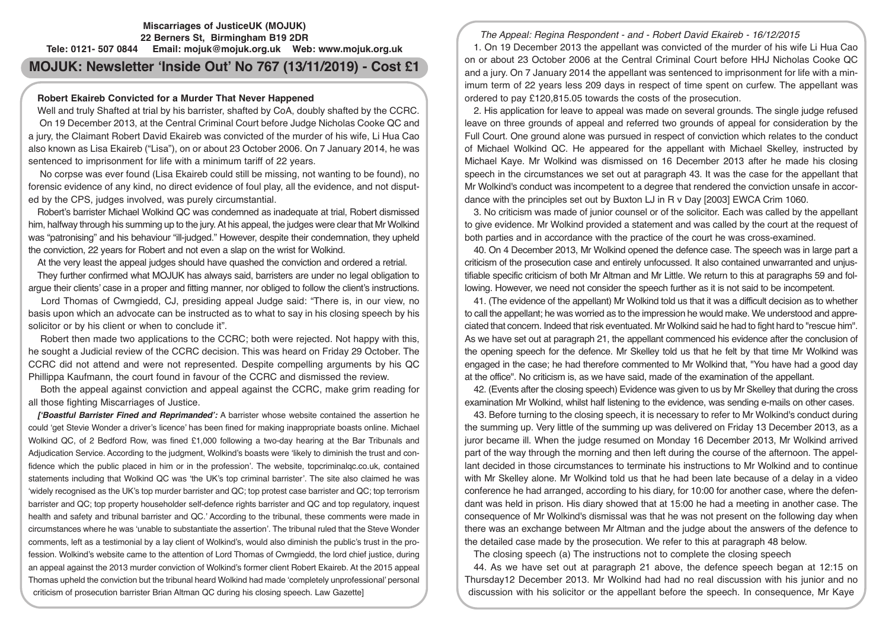## **Miscarriages of JusticeUK (MOJUK) 22 Berners St, Birmingham B19 2DR Tele: 0121- 507 0844 Email: mojuk@mojuk.org.uk Web: www.mojuk.org.uk**

# **MOJUK: Newsletter 'Inside Out' No 767 (13/11/2019) - Cost £1**

# **Robert Ekaireb Convicted for a Murder That Never Happened**

Well and truly Shafted at trial by his barrister, shafted by CoA, doubly shafted by the CCRC.

 On 19 December 2013, at the Central Criminal Court before Judge Nicholas Cooke QC and a jury, the Claimant Robert David Ekaireb was convicted of the murder of his wife, Li Hua Cao also known as Lisa Ekaireb ("Lisa"), on or about 23 October 2006. On 7 January 2014, he was sentenced to imprisonment for life with a minimum tariff of 22 years.

 No corpse was ever found (Lisa Ekaireb could still be missing, not wanting to be found), no forensic evidence of any kind, no direct evidence of foul play, all the evidence, and not disputed by the CPS, judges involved, was purely circumstantial.

Robert's barrister Michael Wolkind QC was condemned as inadequate at trial, Robert dismissed him, halfway through his summing up to the jury. At his appeal, the judges were clear that Mr Wolkind was "patronising" and his behaviour "ill-judged." However, despite their condemnation, they upheld the conviction, 22 years for Robert and not even a slap on the wrist for Wolkind.

At the very least the appeal judges should have quashed the conviction and ordered a retrial.

They further confirmed what MOJUK has always said, barristers are under no legal obligation to argue their clients' case in a proper and fitting manner, nor obliged to follow the client's instructions.

 Lord Thomas of Cwmgiedd, CJ, presiding appeal Judge said: "There is, in our view, no basis upon which an advocate can be instructed as to what to say in his closing speech by his solicitor or by his client or when to conclude it".

 Robert then made two applications to the CCRC; both were rejected. Not happy with this, he sought a Judicial review of the CCRC decision. This was heard on Friday 29 October. The CCRC did not attend and were not represented. Despite compelling arguments by his QC Phillippa Kaufmann, the court found in favour of the CCRC and dismissed the review.

 Both the appeal against conviction and appeal against the CCRC, make grim reading for all those fighting Miscarriages of Justice.

*['Boastful Barrister Fined and Reprimanded':* A barrister whose website contained the assertion he could 'get Stevie Wonder a driver's licence' has been fined for making inappropriate boasts online. Michael Wolkind QC, of 2 Bedford Row, was fined £1,000 following a two-day hearing at the Bar Tribunals and Adjudication Service. According to the judgment, Wolkind's boasts were 'likely to diminish the trust and confidence which the public placed in him or in the profession'. The website, topcriminalqc.co.uk, contained statements including that Wolkind QC was 'the UK's top criminal barrister'. The site also claimed he was 'widely recognised as the UK's top murder barrister and QC; top protest case barrister and QC; top terrorism barrister and QC; top property householder self-defence rights barrister and QC and top regulatory, inquest health and safety and tribunal barrister and QC.' According to the tribunal, these comments were made in circumstances where he was 'unable to substantiate the assertion'. The tribunal ruled that the Steve Wonder comments, left as a testimonial by a lay client of Wolkind's, would also diminish the public's trust in the profession. Wolkind's website came to the attention of Lord Thomas of Cwmgiedd, the lord chief justice, during an appeal against the 2013 murder conviction of Wolkind's former client Robert Ekaireb. At the 2015 appeal Thomas upheld the conviction but the tribunal heard Wolkind had made 'completely unprofessional' personal criticism of prosecution barrister Brian Altman QC during his closing speech. Law Gazette]

The Appeal: Regina Respondent - and - Robert David Ekaireb - 16/12/2015

1. On 19 December 2013 the appellant was convicted of the murder of his wife Li Hua Cao on or about 23 October 2006 at the Central Criminal Court before HHJ Nicholas Cooke QC and a jury. On 7 January 2014 the appellant was sentenced to imprisonment for life with a minimum term of 22 years less 209 days in respect of time spent on curfew. The appellant was ordered to pay £120,815.05 towards the costs of the prosecution.

2. His application for leave to appeal was made on several grounds. The single judge refused leave on three grounds of appeal and referred two grounds of appeal for consideration by the Full Court. One ground alone was pursued in respect of conviction which relates to the conduct of Michael Wolkind QC. He appeared for the appellant with Michael Skelley, instructed by Michael Kaye. Mr Wolkind was dismissed on 16 December 2013 after he made his closing speech in the circumstances we set out at paragraph 43. It was the case for the appellant that Mr Wolkind's conduct was incompetent to a degree that rendered the conviction unsafe in accordance with the principles set out by Buxton LJ in R v Day [2003] EWCA Crim 1060.

3. No criticism was made of junior counsel or of the solicitor. Each was called by the appellant to give evidence. Mr Wolkind provided a statement and was called by the court at the request of both parties and in accordance with the practice of the court he was cross-examined.

40. On 4 December 2013, Mr Wolkind opened the defence case. The speech was in large part a criticism of the prosecution case and entirely unfocussed. It also contained unwarranted and unjustifiable specific criticism of both Mr Altman and Mr Little. We return to this at paragraphs 59 and following. However, we need not consider the speech further as it is not said to be incompetent.

41. (The evidence of the appellant) Mr Wolkind told us that it was a difficult decision as to whether to call the appellant; he was worried as to the impression he would make. We understood and appreciated that concern. Indeed that risk eventuated. Mr Wolkind said he had to fight hard to "rescue him". As we have set out at paragraph 21, the appellant commenced his evidence after the conclusion of the opening speech for the defence. Mr Skelley told us that he felt by that time Mr Wolkind was engaged in the case; he had therefore commented to Mr Wolkind that, "You have had a good day at the office". No criticism is, as we have said, made of the examination of the appellant.

42. (Events after the closing speech) Evidence was given to us by Mr Skelley that during the cross examination Mr Wolkind, whilst half listening to the evidence, was sending e-mails on other cases.

43. Before turning to the closing speech, it is necessary to refer to Mr Wolkind's conduct during the summing up. Very little of the summing up was delivered on Friday 13 December 2013, as a juror became ill. When the judge resumed on Monday 16 December 2013, Mr Wolkind arrived part of the way through the morning and then left during the course of the afternoon. The appellant decided in those circumstances to terminate his instructions to Mr Wolkind and to continue with Mr Skelley alone. Mr Wolkind told us that he had been late because of a delay in a video conference he had arranged, according to his diary, for 10:00 for another case, where the defendant was held in prison. His diary showed that at 15:00 he had a meeting in another case. The consequence of Mr Wolkind's dismissal was that he was not present on the following day when there was an exchange between Mr Altman and the judge about the answers of the defence to the detailed case made by the prosecution. We refer to this at paragraph 48 below.

The closing speech (a) The instructions not to complete the closing speech

44. As we have set out at paragraph 21 above, the defence speech began at 12:15 on Thursday12 December 2013. Mr Wolkind had had no real discussion with his junior and no discussion with his solicitor or the appellant before the speech. In consequence, Mr Kaye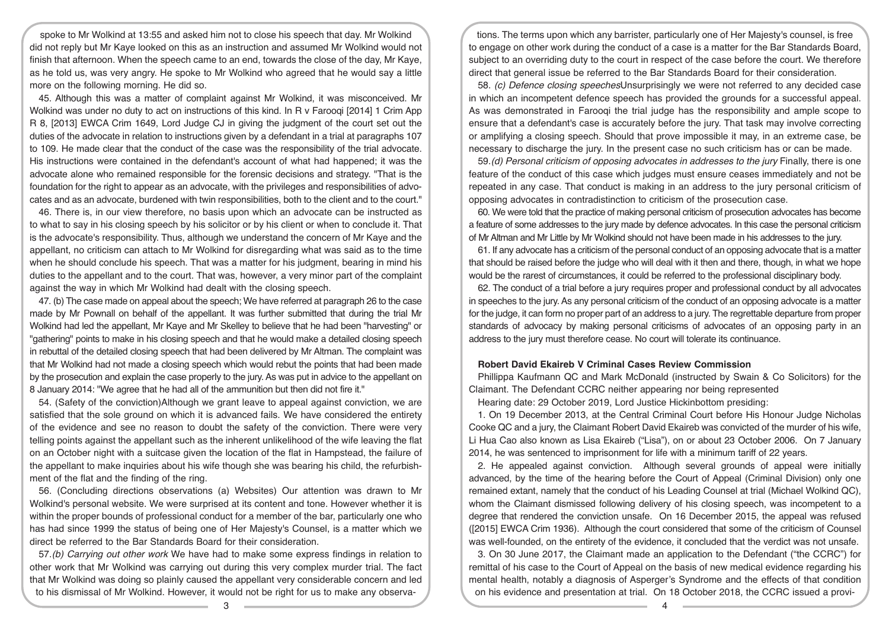spoke to Mr Wolkind at 13:55 and asked him not to close his speech that day. Mr Wolkind did not reply but Mr Kaye looked on this as an instruction and assumed Mr Wolkind would not finish that afternoon. When the speech came to an end, towards the close of the day, Mr Kaye, as he told us, was very angry. He spoke to Mr Wolkind who agreed that he would say a little more on the following morning. He did so.

45. Although this was a matter of complaint against Mr Wolkind, it was misconceived. Mr Wolkind was under no duty to act on instructions of this kind. In R v Farooqi [2014] 1 Crim App R 8, [2013] EWCA Crim 1649, Lord Judge CJ in giving the judgment of the court set out the duties of the advocate in relation to instructions given by a defendant in a trial at paragraphs 107 to 109. He made clear that the conduct of the case was the responsibility of the trial advocate. His instructions were contained in the defendant's account of what had happened; it was the advocate alone who remained responsible for the forensic decisions and strategy. "That is the foundation for the right to appear as an advocate, with the privileges and responsibilities of advocates and as an advocate, burdened with twin responsibilities, both to the client and to the court."

46. There is, in our view therefore, no basis upon which an advocate can be instructed as to what to say in his closing speech by his solicitor or by his client or when to conclude it. That is the advocate's responsibility. Thus, although we understand the concern of Mr Kaye and the appellant, no criticism can attach to Mr Wolkind for disregarding what was said as to the time when he should conclude his speech. That was a matter for his judgment, bearing in mind his duties to the appellant and to the court. That was, however, a very minor part of the complaint against the way in which Mr Wolkind had dealt with the closing speech.

47. (b) The case made on appeal about the speech; We have referred at paragraph 26 to the case made by Mr Pownall on behalf of the appellant. It was further submitted that during the trial Mr Wolkind had led the appellant, Mr Kaye and Mr Skelley to believe that he had been "harvesting" or "gathering" points to make in his closing speech and that he would make a detailed closing speech in rebuttal of the detailed closing speech that had been delivered by Mr Altman. The complaint was that Mr Wolkind had not made a closing speech which would rebut the points that had been made by the prosecution and explain the case properly to the jury. As was put in advice to the appellant on 8 January 2014: "We agree that he had all of the ammunition but then did not fire it."

54. (Safety of the conviction)Although we grant leave to appeal against conviction, we are satisfied that the sole ground on which it is advanced fails. We have considered the entirety of the evidence and see no reason to doubt the safety of the conviction. There were very telling points against the appellant such as the inherent unlikelihood of the wife leaving the flat on an October night with a suitcase given the location of the flat in Hampstead, the failure of the appellant to make inquiries about his wife though she was bearing his child, the refurbishment of the flat and the finding of the ring.

56. (Concluding directions observations (a) Websites) Our attention was drawn to Mr Wolkind's personal website. We were surprised at its content and tone. However whether it is within the proper bounds of professional conduct for a member of the bar, particularly one who has had since 1999 the status of being one of Her Majesty's Counsel, is a matter which we direct be referred to the Bar Standards Board for their consideration.

57.(b) Carrying out other work We have had to make some express findings in relation to other work that Mr Wolkind was carrying out during this very complex murder trial. The fact that Mr Wolkind was doing so plainly caused the appellant very considerable concern and led to his dismissal of Mr Wolkind. However, it would not be right for us to make any observa-

tions. The terms upon which any barrister, particularly one of Her Majesty's counsel, is free to engage on other work during the conduct of a case is a matter for the Bar Standards Board, subject to an overriding duty to the court in respect of the case before the court. We therefore direct that general issue be referred to the Bar Standards Board for their consideration.

58. (c) Defence closing speechesUnsurprisingly we were not referred to any decided case in which an incompetent defence speech has provided the grounds for a successful appeal. As was demonstrated in Farooqi the trial judge has the responsibility and ample scope to ensure that a defendant's case is accurately before the jury. That task may involve correcting or amplifying a closing speech. Should that prove impossible it may, in an extreme case, be necessary to discharge the jury. In the present case no such criticism has or can be made.

59.(d) Personal criticism of opposing advocates in addresses to the jury Finally, there is one feature of the conduct of this case which judges must ensure ceases immediately and not be repeated in any case. That conduct is making in an address to the jury personal criticism of opposing advocates in contradistinction to criticism of the prosecution case.

60. We were told that the practice of making personal criticism of prosecution advocates has become a feature of some addresses to the jury made by defence advocates. In this case the personal criticism of Mr Altman and Mr Little by Mr Wolkind should not have been made in his addresses to the jury.

61. If any advocate has a criticism of the personal conduct of an opposing advocate that is a matter that should be raised before the judge who will deal with it then and there, though, in what we hope would be the rarest of circumstances, it could be referred to the professional disciplinary body.

62. The conduct of a trial before a jury requires proper and professional conduct by all advocates in speeches to the jury. As any personal criticism of the conduct of an opposing advocate is a matter for the judge, it can form no proper part of an address to a jury. The regrettable departure from proper standards of advocacy by making personal criticisms of advocates of an opposing party in an address to the jury must therefore cease. No court will tolerate its continuance.

## **Robert David Ekaireb V Criminal Cases Review Commission**

Phillippa Kaufmann QC and Mark McDonald (instructed by Swain & Co Solicitors) for the Claimant. The Defendant CCRC neither appearing nor being represented

Hearing date: 29 October 2019, Lord Justice Hickinbottom presiding:

1. On 19 December 2013, at the Central Criminal Court before His Honour Judge Nicholas Cooke QC and a jury, the Claimant Robert David Ekaireb was convicted of the murder of his wife, Li Hua Cao also known as Lisa Ekaireb ("Lisa"), on or about 23 October 2006. On 7 January 2014, he was sentenced to imprisonment for life with a minimum tariff of 22 years.

2. He appealed against conviction. Although several grounds of appeal were initially advanced, by the time of the hearing before the Court of Appeal (Criminal Division) only one remained extant, namely that the conduct of his Leading Counsel at trial (Michael Wolkind QC), whom the Claimant dismissed following delivery of his closing speech, was incompetent to a degree that rendered the conviction unsafe. On 16 December 2015, the appeal was refused ([2015] EWCA Crim 1936). Although the court considered that some of the criticism of Counsel was well-founded, on the entirety of the evidence, it concluded that the verdict was not unsafe.

3. On 30 June 2017, the Claimant made an application to the Defendant ("the CCRC") for remittal of his case to the Court of Appeal on the basis of new medical evidence regarding his mental health, notably a diagnosis of Asperger's Syndrome and the effects of that condition on his evidence and presentation at trial. On 18 October 2018, the CCRC issued a provi-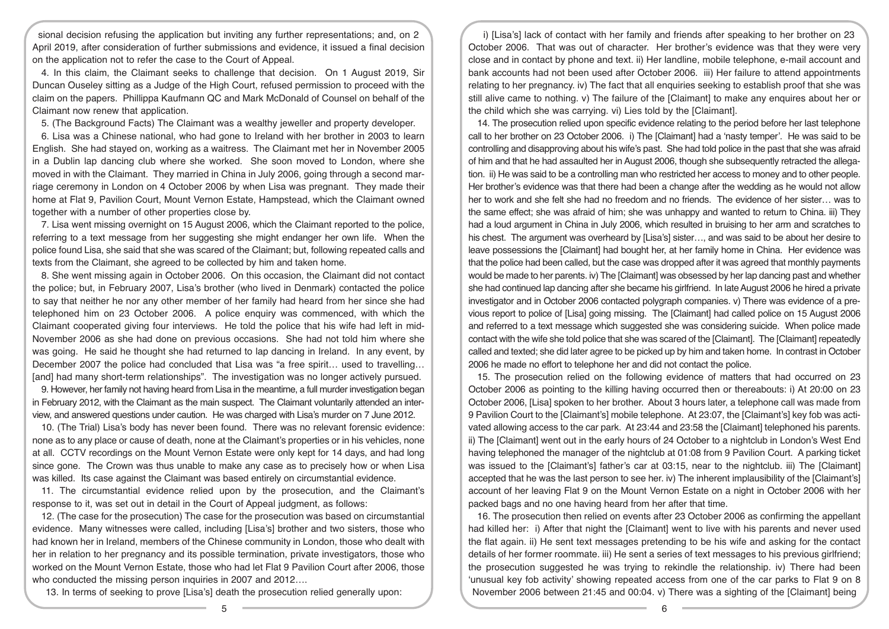sional decision refusing the application but inviting any further representations; and, on 2 April 2019, after consideration of further submissions and evidence, it issued a final decision on the application not to refer the case to the Court of Appeal.

4. In this claim, the Claimant seeks to challenge that decision. On 1 August 2019, Sir Duncan Ouseley sitting as a Judge of the High Court, refused permission to proceed with the claim on the papers. Phillippa Kaufmann QC and Mark McDonald of Counsel on behalf of the Claimant now renew that application.

5. (The Background Facts) The Claimant was a wealthy jeweller and property developer.

6. Lisa was a Chinese national, who had gone to Ireland with her brother in 2003 to learn English. She had stayed on, working as a waitress. The Claimant met her in November 2005 in a Dublin lap dancing club where she worked. She soon moved to London, where she moved in with the Claimant. They married in China in July 2006, going through a second marriage ceremony in London on 4 October 2006 by when Lisa was pregnant. They made their home at Flat 9, Pavilion Court, Mount Vernon Estate, Hampstead, which the Claimant owned together with a number of other properties close by.

7. Lisa went missing overnight on 15 August 2006, which the Claimant reported to the police, referring to a text message from her suggesting she might endanger her own life. When the police found Lisa, she said that she was scared of the Claimant; but, following repeated calls and texts from the Claimant, she agreed to be collected by him and taken home.

8. She went missing again in October 2006. On this occasion, the Claimant did not contact the police; but, in February 2007, Lisa's brother (who lived in Denmark) contacted the police to say that neither he nor any other member of her family had heard from her since she had telephoned him on 23 October 2006. A police enquiry was commenced, with which the Claimant cooperated giving four interviews. He told the police that his wife had left in mid-November 2006 as she had done on previous occasions. She had not told him where she was going. He said he thought she had returned to lap dancing in Ireland. In any event, by December 2007 the police had concluded that Lisa was "a free spirit… used to travelling… [and] had many short-term relationships". The investigation was no longer actively pursued.

9. However, her family not having heard from Lisa in the meantime, a full murder investigation began in February 2012, with the Claimant as the main suspect. The Claimant voluntarily attended an interview, and answered questions under caution. He was charged with Lisa's murder on 7 June 2012.

10. (The Trial) Lisa's body has never been found. There was no relevant forensic evidence: none as to any place or cause of death, none at the Claimant's properties or in his vehicles, none at all. CCTV recordings on the Mount Vernon Estate were only kept for 14 days, and had long since gone. The Crown was thus unable to make any case as to precisely how or when Lisa was killed. Its case against the Claimant was based entirely on circumstantial evidence.

11. The circumstantial evidence relied upon by the prosecution, and the Claimant's response to it, was set out in detail in the Court of Appeal judgment, as follows:

12. (The case for the prosecution) The case for the prosecution was based on circumstantial evidence. Many witnesses were called, including [Lisa's] brother and two sisters, those who had known her in Ireland, members of the Chinese community in London, those who dealt with her in relation to her pregnancy and its possible termination, private investigators, those who worked on the Mount Vernon Estate, those who had let Flat 9 Pavilion Court after 2006, those who conducted the missing person inquiries in 2007 and 2012....

13. In terms of seeking to prove [Lisa's] death the prosecution relied generally upon:

i) [Lisa's] lack of contact with her family and friends after speaking to her brother on 23 October 2006. That was out of character. Her brother's evidence was that they were very close and in contact by phone and text. ii) Her landline, mobile telephone, e-mail account and bank accounts had not been used after October 2006. iii) Her failure to attend appointments relating to her pregnancy. iv) The fact that all enquiries seeking to establish proof that she was still alive came to nothing. v) The failure of the [Claimant] to make any enquires about her or the child which she was carrying. vi) Lies told by the [Claimant].

14. The prosecution relied upon specific evidence relating to the period before her last telephone call to her brother on 23 October 2006. i) The [Claimant] had a 'nasty temper'. He was said to be controlling and disapproving about his wife's past. She had told police in the past that she was afraid of him and that he had assaulted her in August 2006, though she subsequently retracted the allegation. ii) He was said to be a controlling man who restricted her access to money and to other people. Her brother's evidence was that there had been a change after the wedding as he would not allow her to work and she felt she had no freedom and no friends. The evidence of her sister… was to the same effect; she was afraid of him; she was unhappy and wanted to return to China. iii) They had a loud argument in China in July 2006, which resulted in bruising to her arm and scratches to his chest. The argument was overheard by [Lisa's] sister…, and was said to be about her desire to leave possessions the [Claimant] had bought her, at her family home in China. Her evidence was that the police had been called, but the case was dropped after it was agreed that monthly payments would be made to her parents. iv) The [Claimant] was obsessed by her lap dancing past and whether she had continued lap dancing after she became his girlfriend. In late August 2006 he hired a private investigator and in October 2006 contacted polygraph companies. v) There was evidence of a previous report to police of [Lisa] going missing. The [Claimant] had called police on 15 August 2006 and referred to a text message which suggested she was considering suicide. When police made contact with the wife she told police that she was scared of the [Claimant]. The [Claimant] repeatedly called and texted; she did later agree to be picked up by him and taken home. In contrast in October 2006 he made no effort to telephone her and did not contact the police.

15. The prosecution relied on the following evidence of matters that had occurred on 23 October 2006 as pointing to the killing having occurred then or thereabouts: i) At 20:00 on 23 October 2006, [Lisa] spoken to her brother. About 3 hours later, a telephone call was made from 9 Pavilion Court to the [Claimant's] mobile telephone. At 23:07, the [Claimant's] key fob was activated allowing access to the car park. At 23:44 and 23:58 the [Claimant] telephoned his parents. ii) The [Claimant] went out in the early hours of 24 October to a nightclub in London's West End having telephoned the manager of the nightclub at 01:08 from 9 Pavilion Court. A parking ticket was issued to the [Claimant's] father's car at 03:15, near to the nightclub. iii) The [Claimant] accepted that he was the last person to see her. iv) The inherent implausibility of the [Claimant's] account of her leaving Flat 9 on the Mount Vernon Estate on a night in October 2006 with her packed bags and no one having heard from her after that time.

16. The prosecution then relied on events after 23 October 2006 as confirming the appellant had killed her: i) After that night the [Claimant] went to live with his parents and never used the flat again. ii) He sent text messages pretending to be his wife and asking for the contact details of her former roommate. iii) He sent a series of text messages to his previous girlfriend; the prosecution suggested he was trying to rekindle the relationship. iv) There had been 'unusual key fob activity' showing repeated access from one of the car parks to Flat 9 on 8 November 2006 between 21:45 and 00:04. v) There was a sighting of the [Claimant] being

<u>5</u> and the set of the set of the set of the set of the set of the set of the set of the set of the set of the set of the set of the set of the set of the set of the set of the set of the set of the set of the set of the s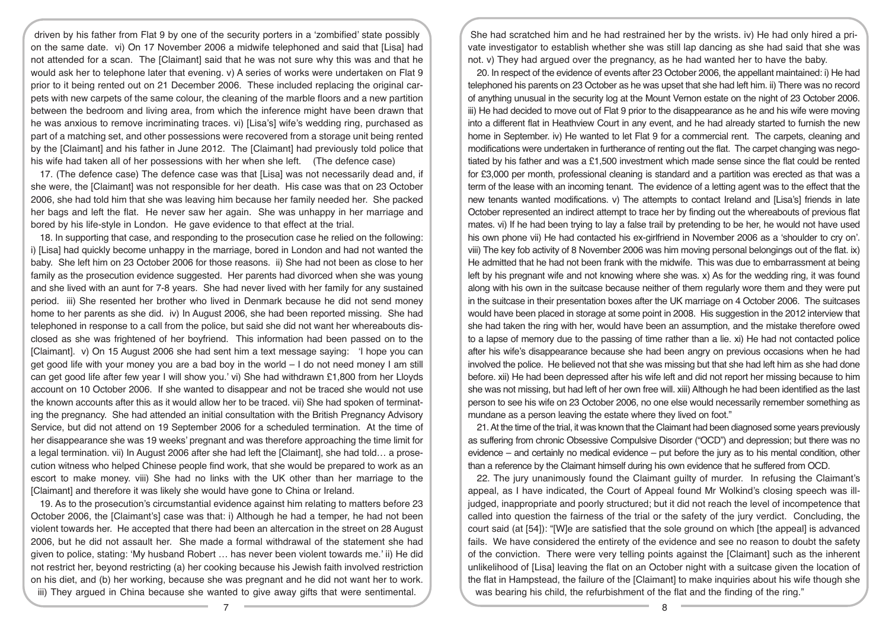driven by his father from Flat 9 by one of the security porters in a 'zombified' state possibly on the same date. vi) On 17 November 2006 a midwife telephoned and said that [Lisa] had not attended for a scan. The [Claimant] said that he was not sure why this was and that he would ask her to telephone later that evening. v) A series of works were undertaken on Flat 9 prior to it being rented out on 21 December 2006. These included replacing the original carpets with new carpets of the same colour, the cleaning of the marble floors and a new partition between the bedroom and living area, from which the inference might have been drawn that he was anxious to remove incriminating traces. vi) [Lisa's] wife's wedding ring, purchased as part of a matching set, and other possessions were recovered from a storage unit being rented by the [Claimant] and his father in June 2012. The [Claimant] had previously told police that his wife had taken all of her possessions with her when she left. (The defence case)

17. (The defence case) The defence case was that [Lisa] was not necessarily dead and, if she were, the [Claimant] was not responsible for her death. His case was that on 23 October 2006, she had told him that she was leaving him because her family needed her. She packed her bags and left the flat. He never saw her again. She was unhappy in her marriage and bored by his life-style in London. He gave evidence to that effect at the trial.

18. In supporting that case, and responding to the prosecution case he relied on the following: i) [Lisa] had quickly become unhappy in the marriage, bored in London and had not wanted the baby. She left him on 23 October 2006 for those reasons. ii) She had not been as close to her family as the prosecution evidence suggested. Her parents had divorced when she was young and she lived with an aunt for 7-8 years. She had never lived with her family for any sustained period. iii) She resented her brother who lived in Denmark because he did not send money home to her parents as she did. iv) In August 2006, she had been reported missing. She had telephoned in response to a call from the police, but said she did not want her whereabouts disclosed as she was frightened of her boyfriend. This information had been passed on to the [Claimant]. v) On 15 August 2006 she had sent him a text message saying: 'I hope you can get good life with your money you are a bad boy in the world – I do not need money I am still can get good life after few year I will show you.' vi) She had withdrawn £1,800 from her Lloyds account on 10 October 2006. If she wanted to disappear and not be traced she would not use the known accounts after this as it would allow her to be traced. vii) She had spoken of terminating the pregnancy. She had attended an initial consultation with the British Pregnancy Advisory Service, but did not attend on 19 September 2006 for a scheduled termination. At the time of her disappearance she was 19 weeks' pregnant and was therefore approaching the time limit for a legal termination. vii) In August 2006 after she had left the [Claimant], she had told… a prosecution witness who helped Chinese people find work, that she would be prepared to work as an escort to make money. viii) She had no links with the UK other than her marriage to the [Claimant] and therefore it was likely she would have gone to China or Ireland.

19. As to the prosecution's circumstantial evidence against him relating to matters before 23 October 2006, the [Claimant's] case was that: i) Although he had a temper, he had not been violent towards her. He accepted that there had been an altercation in the street on 28 August 2006, but he did not assault her. She made a formal withdrawal of the statement she had given to police, stating: 'My husband Robert … has never been violent towards me.' ii) He did not restrict her, beyond restricting (a) her cooking because his Jewish faith involved restriction on his diet, and (b) her working, because she was pregnant and he did not want her to work. iii) They argued in China because she wanted to give away gifts that were sentimental.

She had scratched him and he had restrained her by the wrists. iv) He had only hired a private investigator to establish whether she was still lap dancing as she had said that she was not. v) They had argued over the pregnancy, as he had wanted her to have the baby.

20. In respect of the evidence of events after 23 October 2006, the appellant maintained: i) He had telephoned his parents on 23 October as he was upset that she had left him. ii) There was no record of anything unusual in the security log at the Mount Vernon estate on the night of 23 October 2006. iii) He had decided to move out of Flat 9 prior to the disappearance as he and his wife were moving into a different flat in Heathview Court in any event, and he had already started to furnish the new home in September. iv) He wanted to let Flat 9 for a commercial rent. The carpets, cleaning and modifications were undertaken in furtherance of renting out the flat. The carpet changing was negotiated by his father and was a £1,500 investment which made sense since the flat could be rented for £3,000 per month, professional cleaning is standard and a partition was erected as that was a term of the lease with an incoming tenant. The evidence of a letting agent was to the effect that the new tenants wanted modifications. v) The attempts to contact Ireland and [Lisa's] friends in late October represented an indirect attempt to trace her by finding out the whereabouts of previous flat mates. vi) If he had been trying to lay a false trail by pretending to be her, he would not have used his own phone vii) He had contacted his ex-girlfriend in November 2006 as a 'shoulder to cry on'. viii) The key fob activity of 8 November 2006 was him moving personal belongings out of the flat. ix) He admitted that he had not been frank with the midwife. This was due to embarrassment at being left by his pregnant wife and not knowing where she was. x) As for the wedding ring, it was found along with his own in the suitcase because neither of them regularly wore them and they were put in the suitcase in their presentation boxes after the UK marriage on 4 October 2006. The suitcases would have been placed in storage at some point in 2008. His suggestion in the 2012 interview that she had taken the ring with her, would have been an assumption, and the mistake therefore owed to a lapse of memory due to the passing of time rather than a lie. xi) He had not contacted police after his wife's disappearance because she had been angry on previous occasions when he had involved the police. He believed not that she was missing but that she had left him as she had done before. xii) He had been depressed after his wife left and did not report her missing because to him she was not missing, but had left of her own free will. xiii) Although he had been identified as the last person to see his wife on 23 October 2006, no one else would necessarily remember something as mundane as a person leaving the estate where they lived on foot."

21. At the time of the trial, it was known that the Claimant had been diagnosed some years previously as suffering from chronic Obsessive Compulsive Disorder ("OCD") and depression; but there was no evidence – and certainly no medical evidence – put before the jury as to his mental condition, other than a reference by the Claimant himself during his own evidence that he suffered from OCD.

22. The jury unanimously found the Claimant guilty of murder. In refusing the Claimant's appeal, as I have indicated, the Court of Appeal found Mr Wolkind's closing speech was illjudged, inappropriate and poorly structured; but it did not reach the level of incompetence that called into question the fairness of the trial or the safety of the jury verdict. Concluding, the court said (at [54]): "[W]e are satisfied that the sole ground on which [the appeal] is advanced fails. We have considered the entirety of the evidence and see no reason to doubt the safety of the conviction. There were very telling points against the [Claimant] such as the inherent unlikelihood of [Lisa] leaving the flat on an October night with a suitcase given the location of the flat in Hampstead, the failure of the [Claimant] to make inquiries about his wife though she was bearing his child, the refurbishment of the flat and the finding of the ring."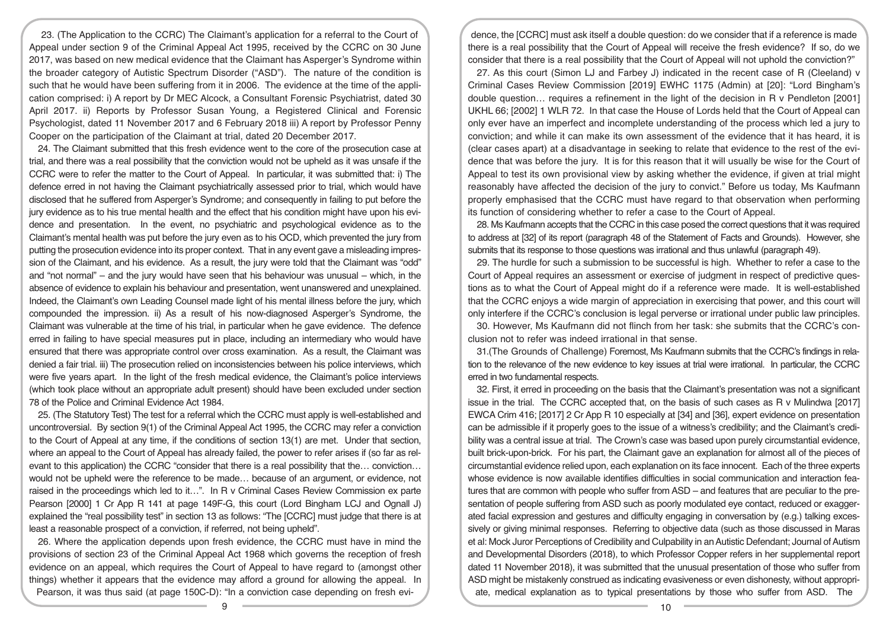23. (The Application to the CCRC) The Claimant's application for a referral to the Court of Appeal under section 9 of the Criminal Appeal Act 1995, received by the CCRC on 30 June 2017, was based on new medical evidence that the Claimant has Asperger's Syndrome within the broader category of Autistic Spectrum Disorder ("ASD"). The nature of the condition is such that he would have been suffering from it in 2006. The evidence at the time of the application comprised: i) A report by Dr MEC Alcock, a Consultant Forensic Psychiatrist, dated 30 April 2017. ii) Reports by Professor Susan Young, a Registered Clinical and Forensic Psychologist, dated 11 November 2017 and 6 February 2018 iii) A report by Professor Penny Cooper on the participation of the Claimant at trial, dated 20 December 2017.

24. The Claimant submitted that this fresh evidence went to the core of the prosecution case at trial, and there was a real possibility that the conviction would not be upheld as it was unsafe if the CCRC were to refer the matter to the Court of Appeal. In particular, it was submitted that: i) The defence erred in not having the Claimant psychiatrically assessed prior to trial, which would have disclosed that he suffered from Asperger's Syndrome; and consequently in failing to put before the jury evidence as to his true mental health and the effect that his condition might have upon his evidence and presentation. In the event, no psychiatric and psychological evidence as to the Claimant's mental health was put before the jury even as to his OCD, which prevented the jury from putting the prosecution evidence into its proper context. That in any event gave a misleading impression of the Claimant, and his evidence. As a result, the jury were told that the Claimant was "odd" and "not normal" – and the jury would have seen that his behaviour was unusual – which, in the absence of evidence to explain his behaviour and presentation, went unanswered and unexplained. Indeed, the Claimant's own Leading Counsel made light of his mental illness before the jury, which compounded the impression. ii) As a result of his now-diagnosed Asperger's Syndrome, the Claimant was vulnerable at the time of his trial, in particular when he gave evidence. The defence erred in failing to have special measures put in place, including an intermediary who would have ensured that there was appropriate control over cross examination. As a result, the Claimant was denied a fair trial. iii) The prosecution relied on inconsistencies between his police interviews, which were five years apart. In the light of the fresh medical evidence, the Claimant's police interviews (which took place without an appropriate adult present) should have been excluded under section 78 of the Police and Criminal Evidence Act 1984.

25. (The Statutory Test) The test for a referral which the CCRC must apply is well-established and uncontroversial. By section 9(1) of the Criminal Appeal Act 1995, the CCRC may refer a conviction to the Court of Appeal at any time, if the conditions of section 13(1) are met. Under that section, where an appeal to the Court of Appeal has already failed, the power to refer arises if (so far as relevant to this application) the CCRC "consider that there is a real possibility that the… conviction… would not be upheld were the reference to be made… because of an argument, or evidence, not raised in the proceedings which led to it…". In R v Criminal Cases Review Commission ex parte Pearson [2000] 1 Cr App R 141 at page 149F-G, this court (Lord Bingham LCJ and Ognall J) explained the "real possibility test" in section 13 as follows: "The [CCRC] must judge that there is at least a reasonable prospect of a conviction, if referred, not being upheld".

26. Where the application depends upon fresh evidence, the CCRC must have in mind the provisions of section 23 of the Criminal Appeal Act 1968 which governs the reception of fresh evidence on an appeal, which requires the Court of Appeal to have regard to (amongst other things) whether it appears that the evidence may afford a ground for allowing the appeal. In Pearson, it was thus said (at page 150C-D): "In a conviction case depending on fresh evi-

dence, the [CCRC] must ask itself a double question: do we consider that if a reference is made there is a real possibility that the Court of Appeal will receive the fresh evidence? If so, do we consider that there is a real possibility that the Court of Appeal will not uphold the conviction?"

27. As this court (Simon LJ and Farbey J) indicated in the recent case of R (Cleeland) v Criminal Cases Review Commission [2019] EWHC 1175 (Admin) at [20]: "Lord Bingham's double question… requires a refinement in the light of the decision in R v Pendleton [2001] UKHL 66; [2002] 1 WLR 72. In that case the House of Lords held that the Court of Appeal can only ever have an imperfect and incomplete understanding of the process which led a jury to conviction; and while it can make its own assessment of the evidence that it has heard, it is (clear cases apart) at a disadvantage in seeking to relate that evidence to the rest of the evidence that was before the jury. It is for this reason that it will usually be wise for the Court of Appeal to test its own provisional view by asking whether the evidence, if given at trial might reasonably have affected the decision of the jury to convict." Before us today, Ms Kaufmann properly emphasised that the CCRC must have regard to that observation when performing its function of considering whether to refer a case to the Court of Appeal.

28. Ms Kaufmann accepts that the CCRC in this case posed the correct questions that it was required to address at [32] of its report (paragraph 48 of the Statement of Facts and Grounds). However, she submits that its response to those questions was irrational and thus unlawful (paragraph 49).

29. The hurdle for such a submission to be successful is high. Whether to refer a case to the Court of Appeal requires an assessment or exercise of judgment in respect of predictive questions as to what the Court of Appeal might do if a reference were made. It is well-established that the CCRC enjoys a wide margin of appreciation in exercising that power, and this court will only interfere if the CCRC's conclusion is legal perverse or irrational under public law principles.

30. However, Ms Kaufmann did not flinch from her task: she submits that the CCRC's conclusion not to refer was indeed irrational in that sense.

31.(The Grounds of Challenge) Foremost, Ms Kaufmann submits that the CCRC's findings in relation to the relevance of the new evidence to key issues at trial were irrational. In particular, the CCRC erred in two fundamental respects.

32. First, it erred in proceeding on the basis that the Claimant's presentation was not a significant issue in the trial. The CCRC accepted that, on the basis of such cases as R v Mulindwa [2017] EWCA Crim 416; [2017] 2 Cr App R 10 especially at [34] and [36], expert evidence on presentation can be admissible if it properly goes to the issue of a witness's credibility; and the Claimant's credibility was a central issue at trial. The Crown's case was based upon purely circumstantial evidence, built brick-upon-brick. For his part, the Claimant gave an explanation for almost all of the pieces of circumstantial evidence relied upon, each explanation on its face innocent. Each of the three experts whose evidence is now available identifies difficulties in social communication and interaction features that are common with people who suffer from ASD – and features that are peculiar to the presentation of people suffering from ASD such as poorly modulated eye contact, reduced or exaggerated facial expression and gestures and difficulty engaging in conversation by (e.g.) talking excessively or giving minimal responses. Referring to objective data (such as those discussed in Maras et al: Mock Juror Perceptions of Credibility and Culpability in an Autistic Defendant; Journal of Autism and Developmental Disorders (2018), to which Professor Copper refers in her supplemental report dated 11 November 2018), it was submitted that the unusual presentation of those who suffer from ASD might be mistakenly construed as indicating evasiveness or even dishonesty, without appropriate, medical explanation as to typical presentations by those who suffer from ASD. The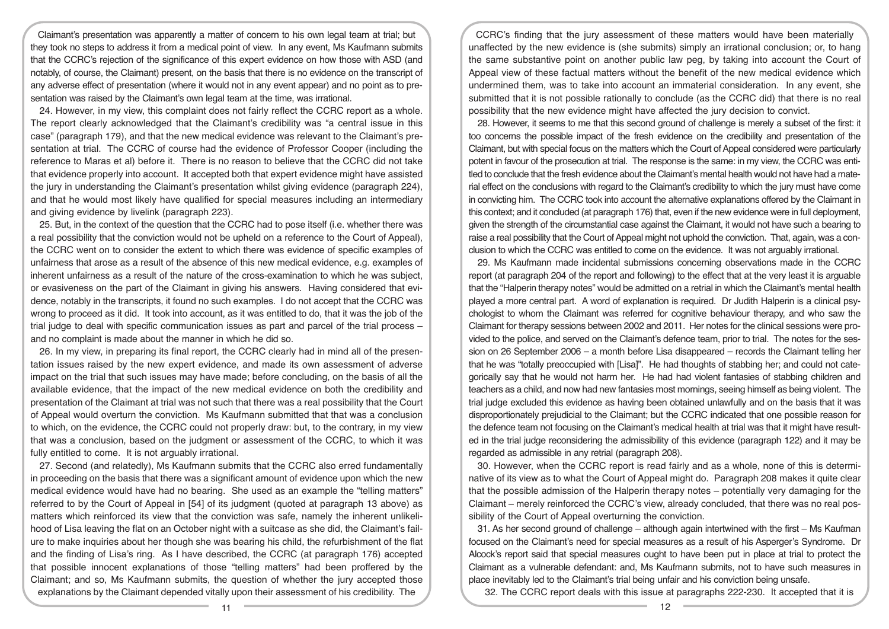Claimant's presentation was apparently a matter of concern to his own legal team at trial; but they took no steps to address it from a medical point of view. In any event, Ms Kaufmann submits that the CCRC's rejection of the significance of this expert evidence on how those with ASD (and notably, of course, the Claimant) present, on the basis that there is no evidence on the transcript of any adverse effect of presentation (where it would not in any event appear) and no point as to presentation was raised by the Claimant's own legal team at the time, was irrational.

24. However, in my view, this complaint does not fairly reflect the CCRC report as a whole. The report clearly acknowledged that the Claimant's credibility was "a central issue in this case" (paragraph 179), and that the new medical evidence was relevant to the Claimant's presentation at trial. The CCRC of course had the evidence of Professor Cooper (including the reference to Maras et al) before it. There is no reason to believe that the CCRC did not take that evidence properly into account. It accepted both that expert evidence might have assisted the jury in understanding the Claimant's presentation whilst giving evidence (paragraph 224), and that he would most likely have qualified for special measures including an intermediary and giving evidence by livelink (paragraph 223).

25. But, in the context of the question that the CCRC had to pose itself (i.e. whether there was a real possibility that the conviction would not be upheld on a reference to the Court of Appeal), the CCRC went on to consider the extent to which there was evidence of specific examples of unfairness that arose as a result of the absence of this new medical evidence, e.g. examples of inherent unfairness as a result of the nature of the cross-examination to which he was subject, or evasiveness on the part of the Claimant in giving his answers. Having considered that evidence, notably in the transcripts, it found no such examples. I do not accept that the CCRC was wrong to proceed as it did. It took into account, as it was entitled to do, that it was the job of the trial judge to deal with specific communication issues as part and parcel of the trial process – and no complaint is made about the manner in which he did so.

26. In my view, in preparing its final report, the CCRC clearly had in mind all of the presentation issues raised by the new expert evidence, and made its own assessment of adverse impact on the trial that such issues may have made; before concluding, on the basis of all the available evidence, that the impact of the new medical evidence on both the credibility and presentation of the Claimant at trial was not such that there was a real possibility that the Court of Appeal would overturn the conviction. Ms Kaufmann submitted that that was a conclusion to which, on the evidence, the CCRC could not properly draw: but, to the contrary, in my view that was a conclusion, based on the judgment or assessment of the CCRC, to which it was fully entitled to come. It is not arguably irrational.

27. Second (and relatedly), Ms Kaufmann submits that the CCRC also erred fundamentally in proceeding on the basis that there was a significant amount of evidence upon which the new medical evidence would have had no bearing. She used as an example the "telling matters" referred to by the Court of Appeal in [54] of its judgment (quoted at paragraph 13 above) as matters which reinforced its view that the conviction was safe, namely the inherent unlikelihood of Lisa leaving the flat on an October night with a suitcase as she did, the Claimant's failure to make inquiries about her though she was bearing his child, the refurbishment of the flat and the finding of Lisa's ring. As I have described, the CCRC (at paragraph 176) accepted that possible innocent explanations of those "telling matters" had been proffered by the Claimant; and so, Ms Kaufmann submits, the question of whether the jury accepted those explanations by the Claimant depended vitally upon their assessment of his credibility. The

CCRC's finding that the jury assessment of these matters would have been materially unaffected by the new evidence is (she submits) simply an irrational conclusion; or, to hang the same substantive point on another public law peg, by taking into account the Court of Appeal view of these factual matters without the benefit of the new medical evidence which undermined them, was to take into account an immaterial consideration. In any event, she submitted that it is not possible rationally to conclude (as the CCRC did) that there is no real possibility that the new evidence might have affected the jury decision to convict.

28. However, it seems to me that this second ground of challenge is merely a subset of the first: it too concerns the possible impact of the fresh evidence on the credibility and presentation of the Claimant, but with special focus on the matters which the Court of Appeal considered were particularly potent in favour of the prosecution at trial. The response is the same: in my view, the CCRC was entitled to conclude that the fresh evidence about the Claimant's mental health would not have had a material effect on the conclusions with regard to the Claimant's credibility to which the jury must have come in convicting him. The CCRC took into account the alternative explanations offered by the Claimant in this context; and it concluded (at paragraph 176) that, even if the new evidence were in full deployment, given the strength of the circumstantial case against the Claimant, it would not have such a bearing to raise a real possibility that the Court of Appeal might not uphold the conviction. That, again, was a conclusion to which the CCRC was entitled to come on the evidence. It was not arguably irrational.

29. Ms Kaufmann made incidental submissions concerning observations made in the CCRC report (at paragraph 204 of the report and following) to the effect that at the very least it is arguable that the "Halperin therapy notes" would be admitted on a retrial in which the Claimant's mental health played a more central part. A word of explanation is required. Dr Judith Halperin is a clinical psychologist to whom the Claimant was referred for cognitive behaviour therapy, and who saw the Claimant for therapy sessions between 2002 and 2011. Her notes for the clinical sessions were provided to the police, and served on the Claimant's defence team, prior to trial. The notes for the session on 26 September 2006 – a month before Lisa disappeared – records the Claimant telling her that he was "totally preoccupied with [Lisa]". He had thoughts of stabbing her; and could not categorically say that he would not harm her. He had had violent fantasies of stabbing children and teachers as a child, and now had new fantasies most mornings, seeing himself as being violent. The trial judge excluded this evidence as having been obtained unlawfully and on the basis that it was disproportionately prejudicial to the Claimant; but the CCRC indicated that one possible reason for the defence team not focusing on the Claimant's medical health at trial was that it might have resulted in the trial judge reconsidering the admissibility of this evidence (paragraph 122) and it may be regarded as admissible in any retrial (paragraph 208).

30. However, when the CCRC report is read fairly and as a whole, none of this is determinative of its view as to what the Court of Appeal might do. Paragraph 208 makes it quite clear that the possible admission of the Halperin therapy notes – potentially very damaging for the Claimant – merely reinforced the CCRC's view, already concluded, that there was no real possibility of the Court of Appeal overturning the conviction.

31. As her second ground of challenge – although again intertwined with the first – Ms Kaufman focused on the Claimant's need for special measures as a result of his Asperger's Syndrome. Dr Alcock's report said that special measures ought to have been put in place at trial to protect the Claimant as a vulnerable defendant: and, Ms Kaufmann submits, not to have such measures in place inevitably led to the Claimant's trial being unfair and his conviction being unsafe.

32. The CCRC report deals with this issue at paragraphs 222-230. It accepted that it is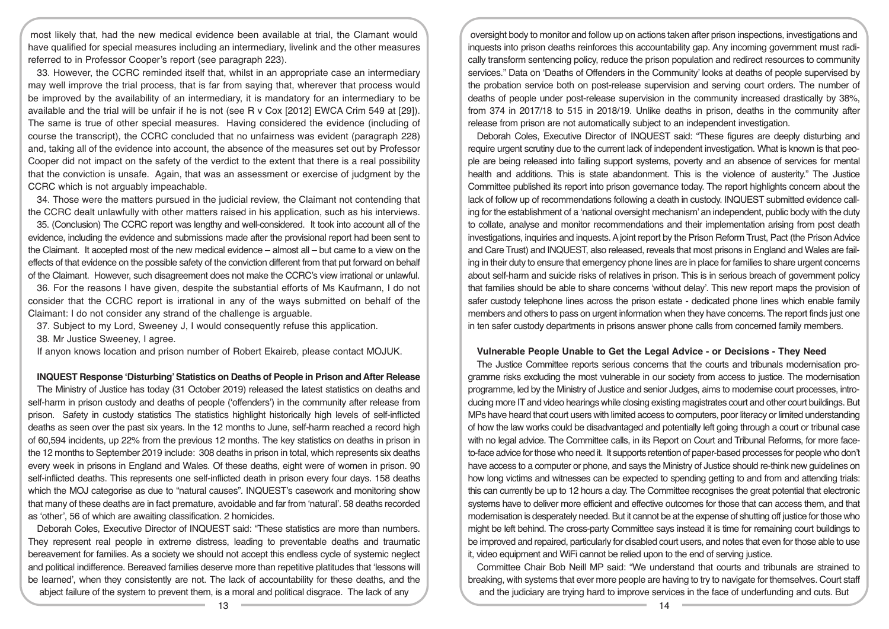most likely that, had the new medical evidence been available at trial, the Clamant would have qualified for special measures including an intermediary, livelink and the other measures referred to in Professor Cooper's report (see paragraph 223).

33. However, the CCRC reminded itself that, whilst in an appropriate case an intermediary may well improve the trial process, that is far from saying that, wherever that process would be improved by the availability of an intermediary, it is mandatory for an intermediary to be available and the trial will be unfair if he is not (see R v Cox [2012] EWCA Crim 549 at [29]). The same is true of other special measures. Having considered the evidence (including of course the transcript), the CCRC concluded that no unfairness was evident (paragraph 228) and, taking all of the evidence into account, the absence of the measures set out by Professor Cooper did not impact on the safety of the verdict to the extent that there is a real possibility that the conviction is unsafe. Again, that was an assessment or exercise of judgment by the CCRC which is not arguably impeachable.

34. Those were the matters pursued in the judicial review, the Claimant not contending that the CCRC dealt unlawfully with other matters raised in his application, such as his interviews.

35. (Conclusion) The CCRC report was lengthy and well-considered. It took into account all of the evidence, including the evidence and submissions made after the provisional report had been sent to the Claimant. It accepted most of the new medical evidence – almost all – but came to a view on the effects of that evidence on the possible safety of the conviction different from that put forward on behalf of the Claimant. However, such disagreement does not make the CCRC's view irrational or unlawful.

36. For the reasons I have given, despite the substantial efforts of Ms Kaufmann, I do not consider that the CCRC report is irrational in any of the ways submitted on behalf of the Claimant: I do not consider any strand of the challenge is arguable.

37. Subject to my Lord, Sweeney J, I would consequently refuse this application.

38. Mr Justice Sweeney, I agree.

If anyon knows location and prison number of Robert Ekaireb, please contact MOJUK.

**INQUEST Response 'Disturbing' Statistics on Deaths of People in Prison and After Release** 

The Ministry of Justice has today (31 October 2019) released the latest statistics on deaths and self-harm in prison custody and deaths of people ('offenders') in the community after release from prison. Safety in custody statistics The statistics highlight historically high levels of self-inflicted deaths as seen over the past six years. In the 12 months to June, self-harm reached a record high of 60,594 incidents, up 22% from the previous 12 months. The key statistics on deaths in prison in the 12 months to September 2019 include: 308 deaths in prison in total, which represents six deaths every week in prisons in England and Wales. Of these deaths, eight were of women in prison. 90 self-inflicted deaths. This represents one self-inflicted death in prison every four days. 158 deaths which the MOJ categorise as due to "natural causes". INQUEST's casework and monitoring show that many of these deaths are in fact premature, avoidable and far from 'natural'. 58 deaths recorded as 'other', 56 of which are awaiting classification. 2 homicides.

Deborah Coles, Executive Director of INQUEST said: "These statistics are more than numbers. They represent real people in extreme distress, leading to preventable deaths and traumatic bereavement for families. As a society we should not accept this endless cycle of systemic neglect and political indifference. Bereaved families deserve more than repetitive platitudes that 'lessons will be learned', when they consistently are not. The lack of accountability for these deaths, and the abject failure of the system to prevent them, is a moral and political disgrace. The lack of any

oversight body to monitor and follow up on actions taken after prison inspections, investigations and inquests into prison deaths reinforces this accountability gap. Any incoming government must radically transform sentencing policy, reduce the prison population and redirect resources to community services." Data on 'Deaths of Offenders in the Community' looks at deaths of people supervised by the probation service both on post-release supervision and serving court orders. The number of deaths of people under post-release supervision in the community increased drastically by 38%, from 374 in 2017/18 to 515 in 2018/19. Unlike deaths in prison, deaths in the community after release from prison are not automatically subject to an independent investigation.

Deborah Coles, Executive Director of INQUEST said: "These figures are deeply disturbing and require urgent scrutiny due to the current lack of independent investigation. What is known is that people are being released into failing support systems, poverty and an absence of services for mental health and additions. This is state abandonment. This is the violence of austerity." The Justice Committee published its report into prison governance today. The report highlights concern about the lack of follow up of recommendations following a death in custody. INQUEST submitted evidence calling for the establishment of a 'national oversight mechanism' an independent, public body with the duty to collate, analyse and monitor recommendations and their implementation arising from post death investigations, inquiries and inquests. A joint report by the Prison Reform Trust, Pact (the Prison Advice and Care Trust) and INQUEST, also released, reveals that most prisons in England and Wales are failing in their duty to ensure that emergency phone lines are in place for families to share urgent concerns about self-harm and suicide risks of relatives in prison. This is in serious breach of government policy that families should be able to share concerns 'without delay'. This new report maps the provision of safer custody telephone lines across the prison estate - dedicated phone lines which enable family members and others to pass on urgent information when they have concerns. The report finds just one in ten safer custody departments in prisons answer phone calls from concerned family members.

### **Vulnerable People Unable to Get the Legal Advice - or Decisions - They Need**

The Justice Committee reports serious concerns that the courts and tribunals modernisation programme risks excluding the most vulnerable in our society from access to justice. The modernisation programme, led by the Ministry of Justice and senior Judges, aims to modernise court processes, introducing more IT and video hearings while closing existing magistrates court and other court buildings. But MPs have heard that court users with limited access to computers, poor literacy or limited understanding of how the law works could be disadvantaged and potentially left going through a court or tribunal case with no legal advice. The Committee calls, in its Report on Court and Tribunal Reforms, for more faceto-face advice for those who need it. It supports retention of paper-based processes for people who don't have access to a computer or phone, and says the Ministry of Justice should re-think new guidelines on how long victims and witnesses can be expected to spending getting to and from and attending trials: this can currently be up to 12 hours a day. The Committee recognises the great potential that electronic systems have to deliver more efficient and effective outcomes for those that can access them, and that modernisation is desperately needed. But it cannot be at the expense of shutting off justice for those who might be left behind. The cross-party Committee says instead it is time for remaining court buildings to be improved and repaired, particularly for disabled court users, and notes that even for those able to use it, video equipment and WiFi cannot be relied upon to the end of serving justice.

Committee Chair Bob Neill MP said: "We understand that courts and tribunals are strained to breaking, with systems that ever more people are having to try to navigate for themselves. Court staff and the judiciary are trying hard to improve services in the face of underfunding and cuts. But